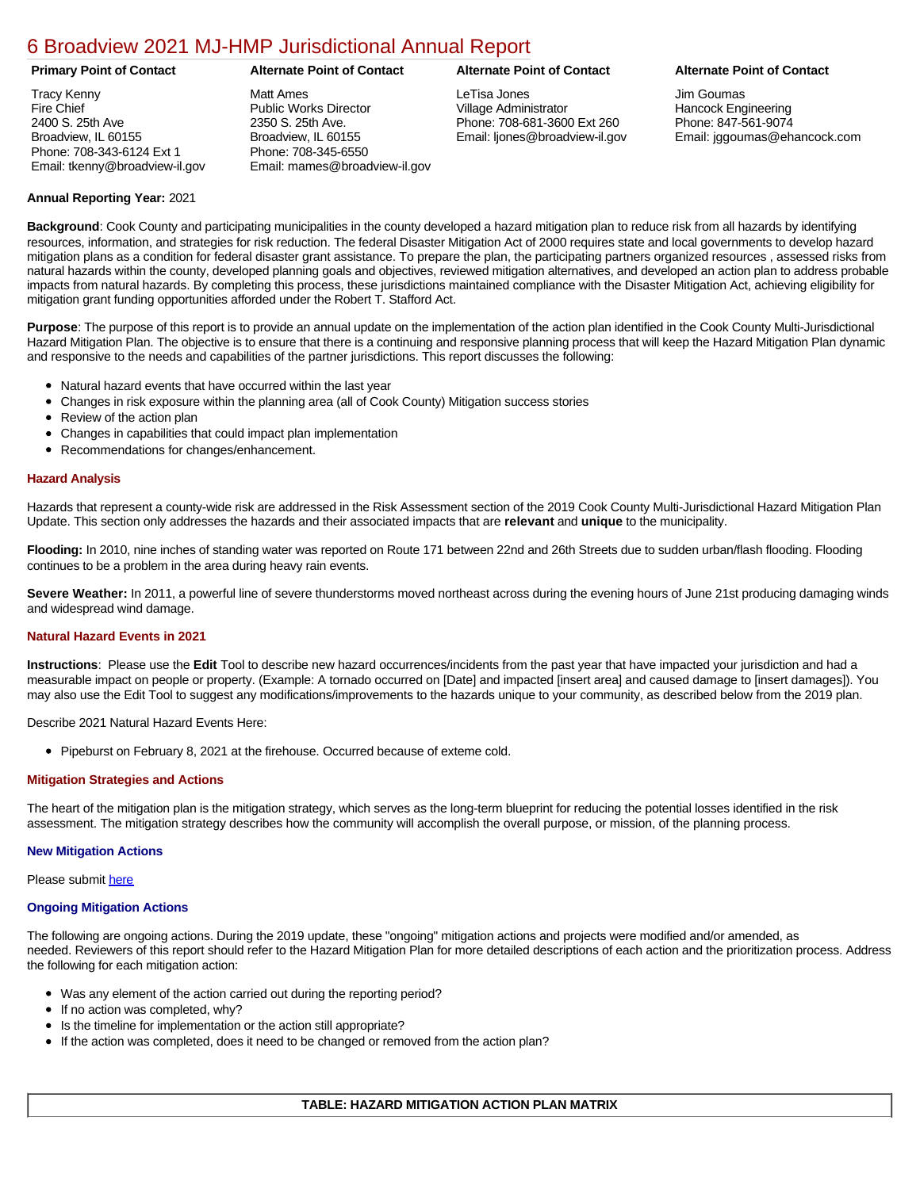# [6 Broadview 2021 MJ-HMP Jurisdictional Annual Report](https://broadview.isc-cemp.com/Cemp/Details?id=8322721)

Tracy Kenny Fire Chief 2400 S. 25th Ave Broadview, IL 60155 Phone: 708-343-6124 Ext 1 Email: tkenny@broadview-il.gov

Matt Ames Public Works Director 2350 S. 25th Ave. Broadview, IL 60155 Phone: 708-345-6550 Email: mames@broadview-il.gov

LeTisa Jones Village Administrator Phone: 708-681-3600 Ext 260 Email: ljones@broadview-il.gov

# **Primary Point of Contact Alternate Point of Contact Alternate Point of Contact Alternate Point of Contact**

Jim Goumas Hancock Engineering Phone: 847-561-9074 Email: jggoumas@ehancock.com

# **Annual Reporting Year:** 2021

**Background**: Cook County and participating municipalities in the county developed a hazard mitigation plan to reduce risk from all hazards by identifying resources, information, and strategies for risk reduction. The federal Disaster Mitigation Act of 2000 requires state and local governments to develop hazard mitigation plans as a condition for federal disaster grant assistance. To prepare the plan, the participating partners organized resources , assessed risks from natural hazards within the county, developed planning goals and objectives, reviewed mitigation alternatives, and developed an action plan to address probable impacts from natural hazards. By completing this process, these jurisdictions maintained compliance with the Disaster Mitigation Act, achieving eligibility for mitigation grant funding opportunities afforded under the Robert T. Stafford Act.

**Purpose**: The purpose of this report is to provide an annual update on the implementation of the action plan identified in the Cook County Multi-Jurisdictional Hazard Mitigation Plan. The objective is to ensure that there is a continuing and responsive planning process that will keep the Hazard Mitigation Plan dynamic and responsive to the needs and capabilities of the partner jurisdictions. This report discusses the following:

- Natural hazard events that have occurred within the last year
- $\bullet$ Changes in risk exposure within the planning area (all of Cook County) Mitigation success stories
- $\bullet$ Review of the action plan
- Changes in capabilities that could impact plan implementation
- Recommendations for changes/enhancement.

# **Hazard Analysis**

Hazards that represent a county-wide risk are addressed in the Risk Assessment section of the 2019 Cook County Multi-Jurisdictional Hazard Mitigation Plan Update. This section only addresses the hazards and their associated impacts that are **relevant** and **unique** to the municipality.

**Flooding:** In 2010, nine inches of standing water was reported on Route 171 between 22nd and 26th Streets due to sudden urban/flash flooding. Flooding continues to be a problem in the area during heavy rain events.

Severe Weather: In 2011, a powerful line of severe thunderstorms moved northeast across during the evening hours of June 21st producing damaging winds and widespread wind damage.

## **Natural Hazard Events in 2021**

**Instructions**: Please use the **Edit** Tool to describe new hazard occurrences/incidents from the past year that have impacted your jurisdiction and had a measurable impact on people or property. (Example: A tornado occurred on [Date] and impacted [insert area] and caused damage to [insert damages]). You may also use the Edit Tool to suggest any modifications/improvements to the hazards unique to your community, as described below from the 2019 plan.

Describe 2021 Natural Hazard Events Here:

• Pipeburst on February 8, 2021 at the firehouse. Occurred because of exteme cold.

## **Mitigation Strategies and Actions**

The heart of the mitigation plan is the mitigation strategy, which serves as the long-term blueprint for reducing the potential losses identified in the risk assessment. The mitigation strategy describes how the community will accomplish the overall purpose, or mission, of the planning process.

## **New Mitigation Actions**

Please submit [here](https://integratedsolutions.wufoo.com/forms/mg21jvf0jn639o/)

## **Ongoing Mitigation Actions**

The following are ongoing actions. During the 2019 update, these "ongoing" mitigation actions and projects were modified and/or amended, as needed. Reviewers of this report should refer to the Hazard Mitigation Plan for more detailed descriptions of each action and the prioritization process. Address the following for each mitigation action:

- Was any element of the action carried out during the reporting period?
- If no action was completed, why?
- Is the timeline for implementation or the action still appropriate?
- If the action was completed, does it need to be changed or removed from the action plan?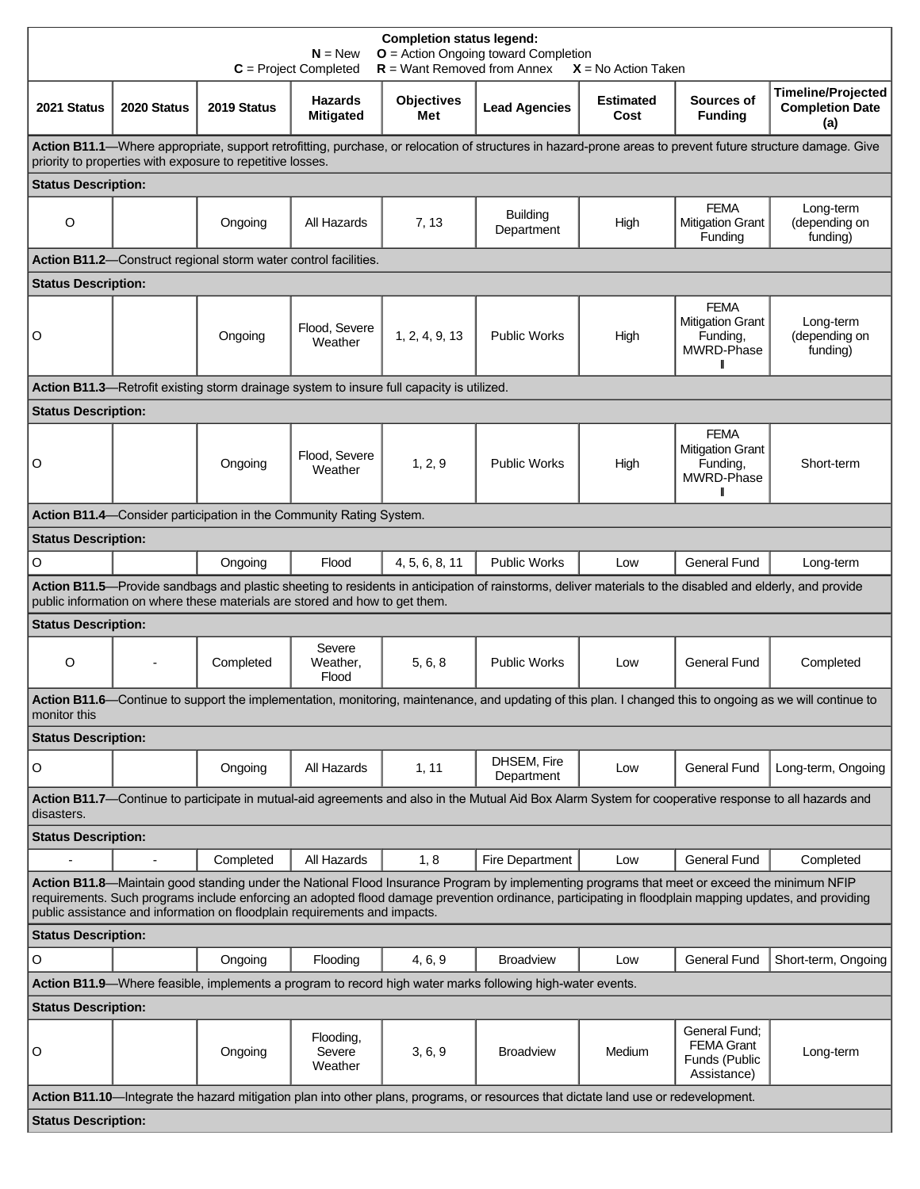| <b>Completion status legend:</b><br>$O =$ Action Ongoing toward Completion<br>$N = New$<br>$R =$ Want Removed from Annex<br>$C = Project Completed$<br>$X = No$ Action Taken                                                                                                                                                                                                        |             |                                                                                           |                                    |                          |                                                                                                                                                           |                          |                                                                    |                                                            |  |  |
|-------------------------------------------------------------------------------------------------------------------------------------------------------------------------------------------------------------------------------------------------------------------------------------------------------------------------------------------------------------------------------------|-------------|-------------------------------------------------------------------------------------------|------------------------------------|--------------------------|-----------------------------------------------------------------------------------------------------------------------------------------------------------|--------------------------|--------------------------------------------------------------------|------------------------------------------------------------|--|--|
| 2021 Status                                                                                                                                                                                                                                                                                                                                                                         | 2020 Status | 2019 Status                                                                               | <b>Hazards</b><br><b>Mitigated</b> | <b>Objectives</b><br>Met | <b>Lead Agencies</b>                                                                                                                                      | <b>Estimated</b><br>Cost | Sources of<br><b>Funding</b>                                       | <b>Timeline/Projected</b><br><b>Completion Date</b><br>(a) |  |  |
| Action B11.1-Where appropriate, support retrofitting, purchase, or relocation of structures in hazard-prone areas to prevent future structure damage. Give<br>priority to properties with exposure to repetitive losses.                                                                                                                                                            |             |                                                                                           |                                    |                          |                                                                                                                                                           |                          |                                                                    |                                                            |  |  |
| <b>Status Description:</b>                                                                                                                                                                                                                                                                                                                                                          |             |                                                                                           |                                    |                          |                                                                                                                                                           |                          |                                                                    |                                                            |  |  |
| $\circ$                                                                                                                                                                                                                                                                                                                                                                             |             | Ongoing                                                                                   | All Hazards                        | 7, 13                    | <b>Building</b><br>Department                                                                                                                             | High                     | <b>FEMA</b><br><b>Mitigation Grant</b><br>Funding                  | Long-term<br>(depending on<br>funding)                     |  |  |
| Action B11.2-Construct regional storm water control facilities.                                                                                                                                                                                                                                                                                                                     |             |                                                                                           |                                    |                          |                                                                                                                                                           |                          |                                                                    |                                                            |  |  |
| <b>Status Description:</b>                                                                                                                                                                                                                                                                                                                                                          |             |                                                                                           |                                    |                          |                                                                                                                                                           |                          |                                                                    |                                                            |  |  |
| O                                                                                                                                                                                                                                                                                                                                                                                   |             | Ongoing                                                                                   | Flood, Severe<br>Weather           | 1, 2, 4, 9, 13           | <b>Public Works</b>                                                                                                                                       | High                     | <b>FEMA</b><br><b>Mitigation Grant</b><br>Funding,<br>MWRD-Phase   | Long-term<br>(depending on<br>funding)                     |  |  |
|                                                                                                                                                                                                                                                                                                                                                                                     |             | Action B11.3-Retrofit existing storm drainage system to insure full capacity is utilized. |                                    |                          |                                                                                                                                                           |                          |                                                                    |                                                            |  |  |
| <b>Status Description:</b>                                                                                                                                                                                                                                                                                                                                                          |             |                                                                                           |                                    |                          |                                                                                                                                                           |                          |                                                                    |                                                            |  |  |
| O                                                                                                                                                                                                                                                                                                                                                                                   |             | Ongoing                                                                                   | Flood, Severe<br>Weather           | 1, 2, 9                  | <b>Public Works</b>                                                                                                                                       | High                     | <b>FEMA</b><br><b>Mitigation Grant</b><br>Funding,<br>MWRD-Phase   | Short-term                                                 |  |  |
|                                                                                                                                                                                                                                                                                                                                                                                     |             | Action B11.4—Consider participation in the Community Rating System.                       |                                    |                          |                                                                                                                                                           |                          |                                                                    |                                                            |  |  |
| <b>Status Description:</b>                                                                                                                                                                                                                                                                                                                                                          |             |                                                                                           |                                    |                          |                                                                                                                                                           |                          |                                                                    |                                                            |  |  |
| O                                                                                                                                                                                                                                                                                                                                                                                   |             | Ongoing                                                                                   | Flood                              | 4, 5, 6, 8, 11           | <b>Public Works</b>                                                                                                                                       | Low                      | <b>General Fund</b>                                                | Long-term                                                  |  |  |
|                                                                                                                                                                                                                                                                                                                                                                                     |             |                                                                                           |                                    |                          | Action B11.5-Provide sandbags and plastic sheeting to residents in anticipation of rainstorms, deliver materials to the disabled and elderly, and provide |                          |                                                                    |                                                            |  |  |
|                                                                                                                                                                                                                                                                                                                                                                                     |             | public information on where these materials are stored and how to get them.               |                                    |                          |                                                                                                                                                           |                          |                                                                    |                                                            |  |  |
| <b>Status Description:</b>                                                                                                                                                                                                                                                                                                                                                          |             |                                                                                           |                                    |                          |                                                                                                                                                           |                          |                                                                    |                                                            |  |  |
| $\circ$                                                                                                                                                                                                                                                                                                                                                                             |             | Completed                                                                                 | Severe<br>Weather,<br>Flood        | 5, 6, 8                  | <b>Public Works</b>                                                                                                                                       | Low                      | General Fund                                                       | Completed                                                  |  |  |
| Action B11.6—Continue to support the implementation, monitoring, maintenance, and updating of this plan. I changed this to ongoing as we will continue to<br>monitor this                                                                                                                                                                                                           |             |                                                                                           |                                    |                          |                                                                                                                                                           |                          |                                                                    |                                                            |  |  |
| <b>Status Description:</b>                                                                                                                                                                                                                                                                                                                                                          |             |                                                                                           |                                    |                          |                                                                                                                                                           |                          |                                                                    |                                                            |  |  |
| O                                                                                                                                                                                                                                                                                                                                                                                   |             | Ongoing                                                                                   | All Hazards                        | 1, 11                    | DHSEM, Fire<br>Department                                                                                                                                 | Low                      | <b>General Fund</b>                                                | Long-term, Ongoing                                         |  |  |
| Action B11.7-Continue to participate in mutual-aid agreements and also in the Mutual Aid Box Alarm System for cooperative response to all hazards and<br>disasters.                                                                                                                                                                                                                 |             |                                                                                           |                                    |                          |                                                                                                                                                           |                          |                                                                    |                                                            |  |  |
| <b>Status Description:</b>                                                                                                                                                                                                                                                                                                                                                          |             |                                                                                           |                                    |                          |                                                                                                                                                           |                          |                                                                    |                                                            |  |  |
|                                                                                                                                                                                                                                                                                                                                                                                     |             | Completed                                                                                 | All Hazards                        | 1, 8                     | Fire Department                                                                                                                                           | Low                      | <b>General Fund</b>                                                | Completed                                                  |  |  |
| Action B11.8-Maintain good standing under the National Flood Insurance Program by implementing programs that meet or exceed the minimum NFIP<br>requirements. Such programs include enforcing an adopted flood damage prevention ordinance, participating in floodplain mapping updates, and providing<br>public assistance and information on floodplain requirements and impacts. |             |                                                                                           |                                    |                          |                                                                                                                                                           |                          |                                                                    |                                                            |  |  |
| <b>Status Description:</b>                                                                                                                                                                                                                                                                                                                                                          |             |                                                                                           |                                    |                          |                                                                                                                                                           |                          |                                                                    |                                                            |  |  |
| $\mathsf O$                                                                                                                                                                                                                                                                                                                                                                         |             | Ongoing                                                                                   | Flooding                           | 4, 6, 9                  | <b>Broadview</b>                                                                                                                                          | Low                      | <b>General Fund</b>                                                | Short-term, Ongoing                                        |  |  |
|                                                                                                                                                                                                                                                                                                                                                                                     |             |                                                                                           |                                    |                          | Action B11.9—Where feasible, implements a program to record high water marks following high-water events.                                                 |                          |                                                                    |                                                            |  |  |
| <b>Status Description:</b>                                                                                                                                                                                                                                                                                                                                                          |             |                                                                                           |                                    |                          |                                                                                                                                                           |                          |                                                                    |                                                            |  |  |
| O                                                                                                                                                                                                                                                                                                                                                                                   |             | Ongoing                                                                                   | Flooding,<br>Severe<br>Weather     | 3, 6, 9                  | <b>Broadview</b>                                                                                                                                          | Medium                   | General Fund;<br><b>FEMA Grant</b><br>Funds (Public<br>Assistance) | Long-term                                                  |  |  |
| Action B11.10-Integrate the hazard mitigation plan into other plans, programs, or resources that dictate land use or redevelopment.                                                                                                                                                                                                                                                 |             |                                                                                           |                                    |                          |                                                                                                                                                           |                          |                                                                    |                                                            |  |  |
| <b>Status Description:</b>                                                                                                                                                                                                                                                                                                                                                          |             |                                                                                           |                                    |                          |                                                                                                                                                           |                          |                                                                    |                                                            |  |  |